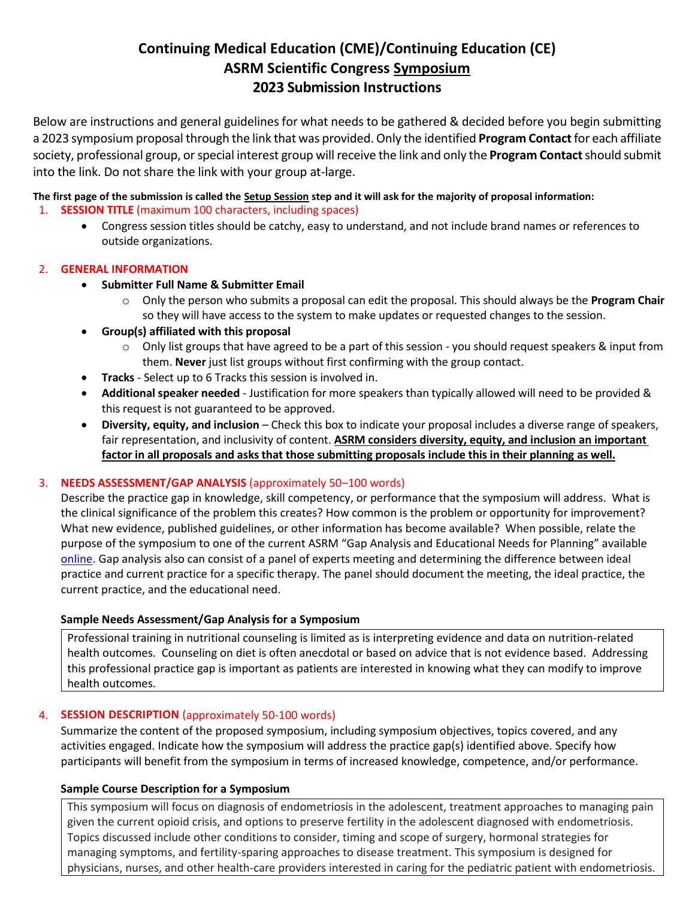# **Continuing Medical Education (CME)/Continuing Education (CE) ASRM Scientific Congress Symposium 2023 Submission Instructions**

Below are instructions and general guidelines for what needs to be gathered & decided before you begin submitting a 2023 symposium proposal through the link that was provided. Only the identified **Program Contact**for each affiliate society, professional group, or special interest group will receive the link and only the **Program Contact**should submit into the link. Do not share the link with your group at-large.

# **The first page of the submission is called the Setup Session step and it will ask for the majority of proposal information:**

- 1. **SESSION TITLE** (maximum 100 characters, including spaces)
	- Congress session titles should be catchy, easy to understand, and not include brand names or references to outside organizations.

# 2. **GENERAL INFORMATION**

- **Submitter Full Name & Submitter Email** 
	- o Only the person who submits a proposal can edit the proposal. This should always be the **Program Chair** so they will have access to the system to make updates or requested changes to the session.
- **Group(s) affiliated with this proposal**
	- o Only list groups that have agreed to be a part of this session you should request speakers & input from them. **Never** just list groups without first confirming with the group contact.
- **Tracks** Select up to 6 Tracks this session is involved in.
- **Additional speaker needed** Justification for more speakers than typically allowed will need to be provided & this request is not guaranteed to be approved.
- **Diversity, equity, and inclusion**  Check this box to indicate your proposal includes a diverse range of speakers, fair representation, and inclusivity of content. **ASRM considers diversity, equity, and inclusion an important factor in all proposals and asks that those submitting proposals include this in their planning as well.**

# 3. **NEEDS ASSESSMENT/GAP ANALYSIS** (approximately 50–100 words)

Describe the practice gap in knowledge, skill competency, or performance that the symposium will address. What is the clinical significance of the problem this creates? How common is the problem or opportunity for improvement? What new evidence, published guidelines, or other information has become available? When possible, relate the purpose of the symposium to one of the current ASRM "Gap Analysis and Educational Needs for Planning" available [online.](https://asrmcongress.org/presenters/#Planning) Gap analysis also can consist of a panel of experts meeting and determining the difference between ideal practice and current practice for a specific therapy. The panel should document the meeting, the ideal practice, the current practice, and the educational need.

# **Sample Needs Assessment/Gap Analysis for a Symposium**

Professional training in nutritional counseling is limited as is interpreting evidence and data on nutrition-related health outcomes. Counseling on diet is often anecdotal or based on advice that is not evidence based. Addressing this professional practice gap is important as patients are interested in knowing what they can modify to improve health outcomes.

# 4. **SESSION DESCRIPTION** (approximately 50-100 words)

Summarize the content of the proposed symposium, including symposium objectives, topics covered, and any activities engaged. Indicate how the symposium will address the practice gap(s) identified above. Specify how participants will benefit from the symposium in terms of increased knowledge, competence, and/or performance.

# **Sample Course Description for a Symposium**

This symposium will focus on diagnosis of endometriosis in the adolescent, treatment approaches to managing pain given the current opioid crisis, and options to preserve fertility in the adolescent diagnosed with endometriosis. Topics discussed include other conditions to consider, timing and scope of surgery, hormonal strategies for managing symptoms, and fertility-sparing approaches to disease treatment. This symposium is designed for physicians, nurses, and other health-care providers interested in caring for the pediatric patient with endometriosis.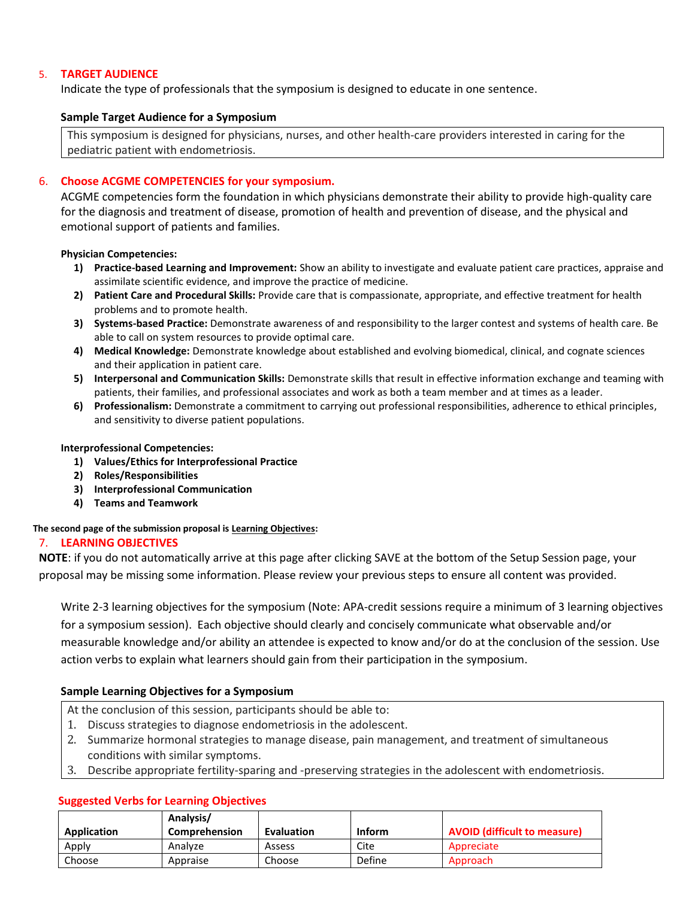### 5. **TARGET AUDIENCE**

Indicate the type of professionals that the symposium is designed to educate in one sentence.

#### **Sample Target Audience for a Symposium**

This symposium is designed for physicians, nurses, and other health-care providers interested in caring for the pediatric patient with endometriosis.

### 6. **Choose ACGME COMPETENCIES for your symposium.**

ACGME competencies form the foundation in which physicians demonstrate their ability to provide high-quality care for the diagnosis and treatment of disease, promotion of health and prevention of disease, and the physical and emotional support of patients and families.

#### **Physician Competencies:**

- **1) Practice-based Learning and Improvement:** Show an ability to investigate and evaluate patient care practices, appraise and assimilate scientific evidence, and improve the practice of medicine.
- **2) Patient Care and Procedural Skills:** Provide care that is compassionate, appropriate, and effective treatment for health problems and to promote health.
- **3) Systems-based Practice:** Demonstrate awareness of and responsibility to the larger contest and systems of health care. Be able to call on system resources to provide optimal care.
- **4) Medical Knowledge:** Demonstrate knowledge about established and evolving biomedical, clinical, and cognate sciences and their application in patient care.
- **5) Interpersonal and Communication Skills:** Demonstrate skills that result in effective information exchange and teaming with patients, their families, and professional associates and work as both a team member and at times as a leader.
- **6) Professionalism:** Demonstrate a commitment to carrying out professional responsibilities, adherence to ethical principles, and sensitivity to diverse patient populations.

#### **Interprofessional Competencies:**

- **1) Values/Ethics for Interprofessional Practice**
- **2) Roles/Responsibilities**
- **3) Interprofessional Communication**
- **4) Teams and Teamwork**

#### **The second page of the submission proposal is Learning Objectives:**

#### 7. **LEARNING OBJECTIVES**

**NOTE**: if you do not automatically arrive at this page after clicking SAVE at the bottom of the Setup Session page, your proposal may be missing some information. Please review your previous steps to ensure all content was provided.

Write 2-3 learning objectives for the symposium (Note: APA-credit sessions require a minimum of 3 learning objectives for a symposium session). Each objective should clearly and concisely communicate what observable and/or measurable knowledge and/or ability an attendee is expected to know and/or do at the conclusion of the session. Use action verbs to explain what learners should gain from their participation in the symposium.

#### **Sample Learning Objectives for a Symposium**

- At the conclusion of this session, participants should be able to:
- 1. Discuss strategies to diagnose endometriosis in the adolescent.
- 2. Summarize hormonal strategies to manage disease, pain management, and treatment of simultaneous conditions with similar symptoms.
- 3. Describe appropriate fertility-sparing and -preserving strategies in the adolescent with endometriosis.

#### **Application Analysis/ Comprehension Evaluation Inform AVOID (difficult to measure)** Apply Analyze Assess Cite Appreciate Choose | Appraise | Choose | Define | Approach

#### **Suggested Verbs for Learning Objectives**